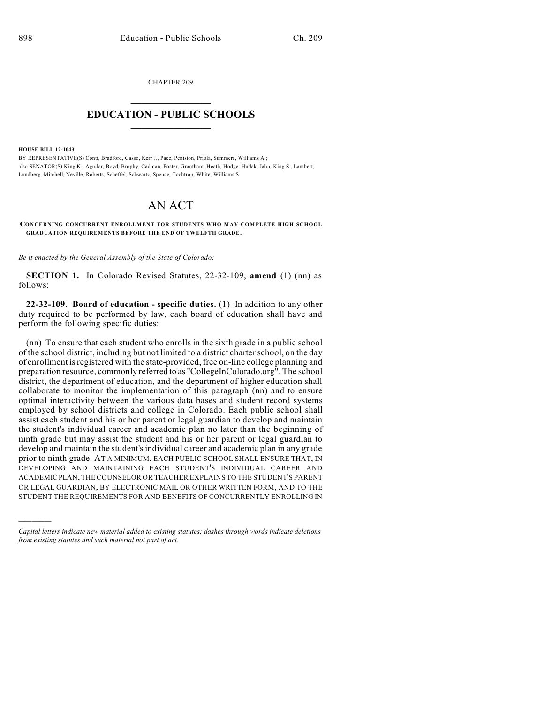CHAPTER 209  $\mathcal{L}_\text{max}$  . The set of the set of the set of the set of the set of the set of the set of the set of the set of the set of the set of the set of the set of the set of the set of the set of the set of the set of the set

## **EDUCATION - PUBLIC SCHOOLS**  $\_$   $\_$   $\_$   $\_$   $\_$   $\_$   $\_$   $\_$   $\_$

**HOUSE BILL 12-1043**

)))))

BY REPRESENTATIVE(S) Conti, Bradford, Casso, Kerr J., Pace, Peniston, Priola, Summers, Williams A.; also SENATOR(S) King K., Aguilar, Boyd, Brophy, Cadman, Foster, Grantham, Heath, Hodge, Hudak, Jahn, King S., Lambert, Lundberg, Mitchell, Neville, Roberts, Scheffel, Schwartz, Spence, Tochtrop, White, Williams S.

## AN ACT

**CONCERNING CONCURRENT ENROLLMENT FOR STUDENTS WHO MAY COMPLETE HIGH SCHOOL GRADUATION REQUIREMENTS BEFORE THE END OF TWELFTH GRADE.**

*Be it enacted by the General Assembly of the State of Colorado:*

**SECTION 1.** In Colorado Revised Statutes, 22-32-109, **amend** (1) (nn) as follows:

**22-32-109. Board of education - specific duties.** (1) In addition to any other duty required to be performed by law, each board of education shall have and perform the following specific duties:

(nn) To ensure that each student who enrolls in the sixth grade in a public school of the school district, including but not limited to a district charter school, on the day of enrollment isregistered with the state-provided, free on-line college planning and preparation resource, commonly referred to as "CollegeInColorado.org". The school district, the department of education, and the department of higher education shall collaborate to monitor the implementation of this paragraph (nn) and to ensure optimal interactivity between the various data bases and student record systems employed by school districts and college in Colorado. Each public school shall assist each student and his or her parent or legal guardian to develop and maintain the student's individual career and academic plan no later than the beginning of ninth grade but may assist the student and his or her parent or legal guardian to develop and maintain the student's individual career and academic plan in any grade prior to ninth grade. AT A MINIMUM, EACH PUBLIC SCHOOL SHALL ENSURE THAT, IN DEVELOPING AND MAINTAINING EACH STUDENT'S INDIVIDUAL CAREER AND ACADEMIC PLAN, THE COUNSELOR OR TEACHER EXPLAINS TO THE STUDENT'S PARENT OR LEGAL GUARDIAN, BY ELECTRONIC MAIL OR OTHER WRITTEN FORM, AND TO THE STUDENT THE REQUIREMENTS FOR AND BENEFITS OF CONCURRENTLY ENROLLING IN

*Capital letters indicate new material added to existing statutes; dashes through words indicate deletions from existing statutes and such material not part of act.*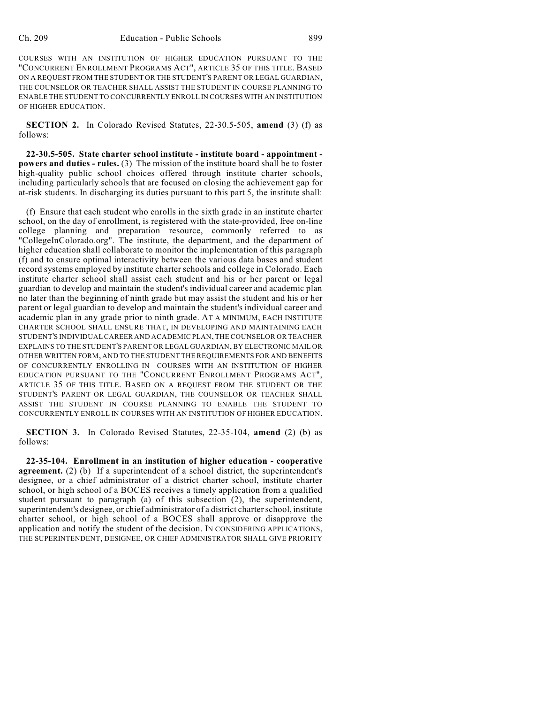COURSES WITH AN INSTITUTION OF HIGHER EDUCATION PURSUANT TO THE "CONCURRENT ENROLLMENT PROGRAMS ACT", ARTICLE 35 OF THIS TITLE. BASED ON A REQUEST FROM THE STUDENT OR THE STUDENT'S PARENT OR LEGAL GUARDIAN, THE COUNSELOR OR TEACHER SHALL ASSIST THE STUDENT IN COURSE PLANNING TO ENABLE THE STUDENT TO CONCURRENTLY ENROLL IN COURSES WITH AN INSTITUTION OF HIGHER EDUCATION.

**SECTION 2.** In Colorado Revised Statutes, 22-30.5-505, **amend** (3) (f) as follows:

**22-30.5-505. State charter school institute - institute board - appointment powers and duties - rules.** (3) The mission of the institute board shall be to foster high-quality public school choices offered through institute charter schools, including particularly schools that are focused on closing the achievement gap for at-risk students. In discharging its duties pursuant to this part 5, the institute shall:

(f) Ensure that each student who enrolls in the sixth grade in an institute charter school, on the day of enrollment, is registered with the state-provided, free on-line college planning and preparation resource, commonly referred to as "CollegeInColorado.org". The institute, the department, and the department of higher education shall collaborate to monitor the implementation of this paragraph (f) and to ensure optimal interactivity between the various data bases and student record systems employed by institute charter schools and college in Colorado. Each institute charter school shall assist each student and his or her parent or legal guardian to develop and maintain the student's individual career and academic plan no later than the beginning of ninth grade but may assist the student and his or her parent or legal guardian to develop and maintain the student's individual career and academic plan in any grade prior to ninth grade. AT A MINIMUM, EACH INSTITUTE CHARTER SCHOOL SHALL ENSURE THAT, IN DEVELOPING AND MAINTAINING EACH STUDENT'S INDIVIDUAL CAREER AND ACADEMIC PLAN, THE COUNSELOR OR TEACHER EXPLAINS TO THE STUDENT'S PARENT OR LEGAL GUARDIAN, BY ELECTRONIC MAIL OR OTHER WRITTEN FORM, AND TO THE STUDENT THE REQUIREMENTS FOR AND BENEFITS OF CONCURRENTLY ENROLLING IN COURSES WITH AN INSTITUTION OF HIGHER EDUCATION PURSUANT TO THE "CONCURRENT ENROLLMENT PROGRAMS ACT", ARTICLE 35 OF THIS TITLE. BASED ON A REQUEST FROM THE STUDENT OR THE STUDENT'S PARENT OR LEGAL GUARDIAN, THE COUNSELOR OR TEACHER SHALL ASSIST THE STUDENT IN COURSE PLANNING TO ENABLE THE STUDENT TO CONCURRENTLY ENROLL IN COURSES WITH AN INSTITUTION OF HIGHER EDUCATION.

**SECTION 3.** In Colorado Revised Statutes, 22-35-104, **amend** (2) (b) as follows:

**22-35-104. Enrollment in an institution of higher education - cooperative agreement.** (2) (b) If a superintendent of a school district, the superintendent's designee, or a chief administrator of a district charter school, institute charter school, or high school of a BOCES receives a timely application from a qualified student pursuant to paragraph (a) of this subsection (2), the superintendent, superintendent's designee, or chief administrator of a district charter school, institute charter school, or high school of a BOCES shall approve or disapprove the application and notify the student of the decision. IN CONSIDERING APPLICATIONS, THE SUPERINTENDENT, DESIGNEE, OR CHIEF ADMINISTRATOR SHALL GIVE PRIORITY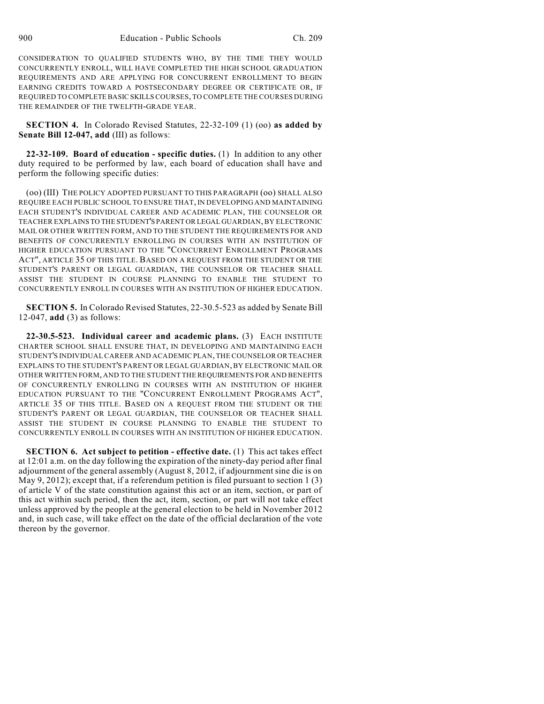CONSIDERATION TO QUALIFIED STUDENTS WHO, BY THE TIME THEY WOULD CONCURRENTLY ENROLL, WILL HAVE COMPLETED THE HIGH SCHOOL GRADUATION REQUIREMENTS AND ARE APPLYING FOR CONCURRENT ENROLLMENT TO BEGIN EARNING CREDITS TOWARD A POSTSECONDARY DEGREE OR CERTIFICATE OR, IF REQUIRED TO COMPLETE BASIC SKILLS COURSES, TO COMPLETE THE COURSES DURING THE REMAINDER OF THE TWELFTH-GRADE YEAR.

**SECTION 4.** In Colorado Revised Statutes, 22-32-109 (1) (oo) **as added by Senate Bill 12-047, add** (III) as follows:

**22-32-109. Board of education - specific duties.** (1) In addition to any other duty required to be performed by law, each board of education shall have and perform the following specific duties:

(oo) (III) THE POLICY ADOPTED PURSUANT TO THIS PARAGRAPH (oo) SHALL ALSO REQUIRE EACH PUBLIC SCHOOL TO ENSURE THAT, IN DEVELOPING AND MAINTAINING EACH STUDENT'S INDIVIDUAL CAREER AND ACADEMIC PLAN, THE COUNSELOR OR TEACHER EXPLAINS TO THE STUDENT'S PARENT OR LEGAL GUARDIAN, BY ELECTRONIC MAIL OR OTHER WRITTEN FORM, AND TO THE STUDENT THE REQUIREMENTS FOR AND BENEFITS OF CONCURRENTLY ENROLLING IN COURSES WITH AN INSTITUTION OF HIGHER EDUCATION PURSUANT TO THE "CONCURRENT ENROLLMENT PROGRAMS ACT", ARTICLE 35 OF THIS TITLE. BASED ON A REQUEST FROM THE STUDENT OR THE STUDENT'S PARENT OR LEGAL GUARDIAN, THE COUNSELOR OR TEACHER SHALL ASSIST THE STUDENT IN COURSE PLANNING TO ENABLE THE STUDENT TO CONCURRENTLY ENROLL IN COURSES WITH AN INSTITUTION OF HIGHER EDUCATION.

**SECTION 5.** In Colorado Revised Statutes, 22-30.5-523 as added by Senate Bill 12-047, **add** (3) as follows:

**22-30.5-523. Individual career and academic plans.** (3) EACH INSTITUTE CHARTER SCHOOL SHALL ENSURE THAT, IN DEVELOPING AND MAINTAINING EACH STUDENT'S INDIVIDUAL CAREER AND ACADEMIC PLAN, THE COUNSELOR OR TEACHER EXPLAINS TO THE STUDENT'S PARENT OR LEGAL GUARDIAN,BY ELECTRONIC MAIL OR OTHER WRITTEN FORM, AND TO THE STUDENT THE REQUIREMENTS FOR AND BENEFITS OF CONCURRENTLY ENROLLING IN COURSES WITH AN INSTITUTION OF HIGHER EDUCATION PURSUANT TO THE "CONCURRENT ENROLLMENT PROGRAMS ACT", ARTICLE 35 OF THIS TITLE. BASED ON A REQUEST FROM THE STUDENT OR THE STUDENT'S PARENT OR LEGAL GUARDIAN, THE COUNSELOR OR TEACHER SHALL ASSIST THE STUDENT IN COURSE PLANNING TO ENABLE THE STUDENT TO CONCURRENTLY ENROLL IN COURSES WITH AN INSTITUTION OF HIGHER EDUCATION.

**SECTION 6. Act subject to petition - effective date.** (1) This act takes effect at 12:01 a.m. on the day following the expiration of the ninety-day period after final adjournment of the general assembly (August 8, 2012, if adjournment sine die is on May 9, 2012); except that, if a referendum petition is filed pursuant to section 1  $(3)$ of article V of the state constitution against this act or an item, section, or part of this act within such period, then the act, item, section, or part will not take effect unless approved by the people at the general election to be held in November 2012 and, in such case, will take effect on the date of the official declaration of the vote thereon by the governor.